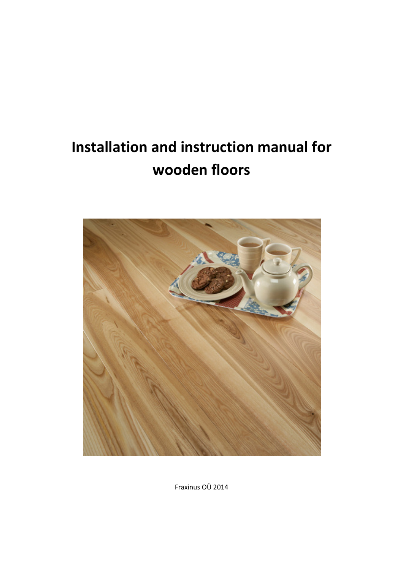# Installation and instruction manual for wooden floors



Fraxinus OÜ 2014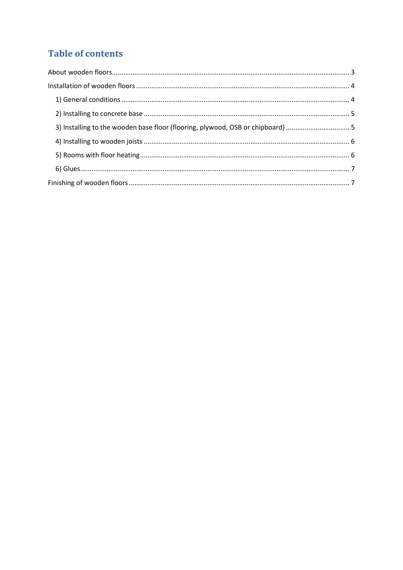## **Table of contents**

| 3) Installing to the wooden base floor (flooring, plywood, OSB or chipboard)  5 |  |
|---------------------------------------------------------------------------------|--|
|                                                                                 |  |
|                                                                                 |  |
|                                                                                 |  |
|                                                                                 |  |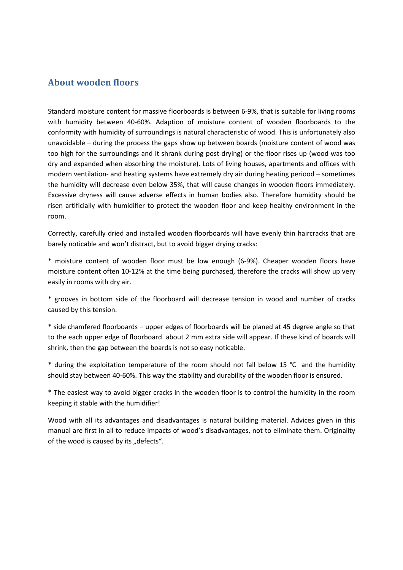## About wooden floors

Standard moisture content for massive floorboards is between 6-9%, that is suitable for living rooms with humidity between 40-60%. Adaption of moisture content of wooden floorboards to the conformity with humidity of surroundings is natural characteristic of wood. This is unfortunately also unavoidable – during the process the gaps show up between boards (moisture content of wood was too high for the surroundings and it shrank during post drying) or the floor rises up (wood was too dry and expanded when absorbing the moisture). Lots of living houses, apartments and offices with modern ventilation- and heating systems have extremely dry air during heating periood – sometimes the humidity will decrease even below 35%, that will cause changes in wooden floors immediately. Excessive dryness will cause adverse effects in human bodies also. Therefore humidity should be risen artificially with humidifier to protect the wooden floor and keep healthy environment in the room.

Correctly, carefully dried and installed wooden floorboards will have evenly thin haircracks that are barely noticable and won't distract, but to avoid bigger drying cracks:

\* moisture content of wooden floor must be low enough (6-9%). Cheaper wooden floors have moisture content often 10-12% at the time being purchased, therefore the cracks will show up very easily in rooms with dry air.

\* grooves in bottom side of the floorboard will decrease tension in wood and number of cracks caused by this tension.

\* side chamfered floorboards – upper edges of floorboards will be planed at 45 degree angle so that to the each upper edge of floorboard about 2 mm extra side will appear. If these kind of boards will shrink, then the gap between the boards is not so easy noticable.

\* during the exploitation temperature of the room should not fall below 15 °C and the humidity should stay between 40-60%. This way the stability and durability of the wooden floor is ensured.

\* The easiest way to avoid bigger cracks in the wooden floor is to control the humidity in the room keeping it stable with the humidifier!

Wood with all its advantages and disadvantages is natural building material. Advices given in this manual are first in all to reduce impacts of wood's disadvantages, not to eliminate them. Originality of the wood is caused by its "defects".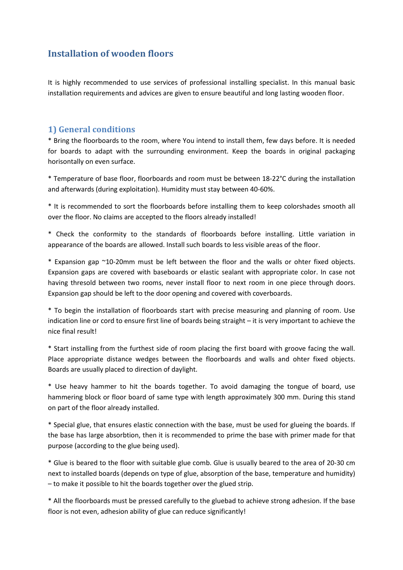## Installation of wooden floors

It is highly recommended to use services of professional installing specialist. In this manual basic installation requirements and advices are given to ensure beautiful and long lasting wooden floor.

#### 1) General conditions

\* Bring the floorboards to the room, where You intend to install them, few days before. It is needed for boards to adapt with the surrounding environment. Keep the boards in original packaging horisontally on even surface.

\* Temperature of base floor, floorboards and room must be between 18-22°C during the installation and afterwards (during exploitation). Humidity must stay between 40-60%.

\* It is recommended to sort the floorboards before installing them to keep colorshades smooth all over the floor. No claims are accepted to the floors already installed!

\* Check the conformity to the standards of floorboards before installing. Little variation in appearance of the boards are allowed. Install such boards to less visible areas of the floor.

\* Expansion gap ~10-20mm must be left between the floor and the walls or ohter fixed objects. Expansion gaps are covered with baseboards or elastic sealant with appropriate color. In case not having thresold between two rooms, never install floor to next room in one piece through doors. Expansion gap should be left to the door opening and covered with coverboards.

\* To begin the installation of floorboards start with precise measuring and planning of room. Use indication line or cord to ensure first line of boards being straight – it is very important to achieve the nice final result!

\* Start installing from the furthest side of room placing the first board with groove facing the wall. Place appropriate distance wedges between the floorboards and walls and ohter fixed objects. Boards are usually placed to direction of daylight.

\* Use heavy hammer to hit the boards together. To avoid damaging the tongue of board, use hammering block or floor board of same type with length approximately 300 mm. During this stand on part of the floor already installed.

\* Special glue, that ensures elastic connection with the base, must be used for glueing the boards. If the base has large absorbtion, then it is recommended to prime the base with primer made for that purpose (according to the glue being used).

\* Glue is beared to the floor with suitable glue comb. Glue is usually beared to the area of 20-30 cm next to installed boards (depends on type of glue, absorption of the base, temperature and humidity) – to make it possible to hit the boards together over the glued strip.

\* All the floorboards must be pressed carefully to the gluebad to achieve strong adhesion. If the base floor is not even, adhesion ability of glue can reduce significantly!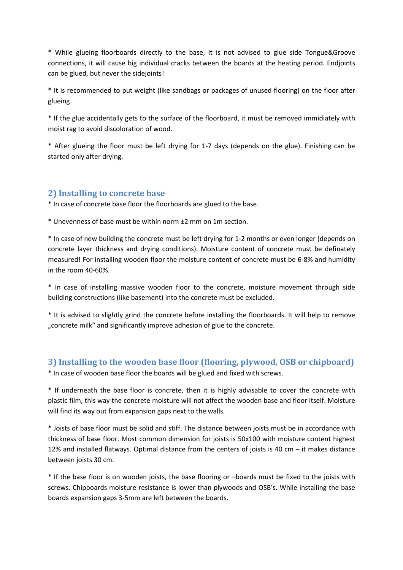\* While glueing floorboards directly to the base, it is not advised to glue side Tongue&Groove connections, it will cause big individual cracks between the boards at the heating period. Endjoints can be glued, but never the sidejoints!

\* It is recommended to put weight (like sandbags or packages of unused flooring) on the floor after glueing.

\* If the glue accidentally gets to the surface of the floorboard, it must be removed immidiately with moist rag to avoid discoloration of wood.

\* After glueing the floor must be left drying for 1-7 days (depends on the glue). Finishing can be started only after drying.

## 2) Installing to concrete base

\* In case of concrete base floor the floorboards are glued to the base.

\* Unevenness of base must be within norm ±2 mm on 1m section.

\* In case of new building the concrete must be left drying for 1-2 months or even longer (depends on concrete layer thickness and drying conditions). Moisture content of concrete must be definately measured! For installing wooden floor the moisture content of concrete must be 6-8% and humidity in the room 40-60%.

\* In case of installing massive wooden floor to the concrete, moisture movement through side building constructions (like basement) into the concrete must be excluded.

\* It is advised to slightly grind the concrete before installing the floorboards. It will help to remove "concrete milk" and significantly improve adhesion of glue to the concrete.

## 3) Installing to the wooden base floor (flooring, plywood, OSB or chipboard)

\* In case of wooden base floor the boards will be glued and fixed with screws.

\* If underneath the base floor is concrete, then it is highly advisable to cover the concrete with plastic film, this way the concrete moisture will not affect the wooden base and floor itself. Moisture will find its way out from expansion gaps next to the walls.

\* Joists of base floor must be solid and stiff. The distance between joists must be in accordance with thickness of base floor. Most common dimension for joists is 50x100 with moisture content highest 12% and installed flatways. Optimal distance from the centers of joists is 40 cm – it makes distance between joists 30 cm.

\* If the base floor is on wooden joists, the base flooring or –boards must be fixed to the joists with screws. Chipboards moisture resistance is lower than plywoods and OSB's. While installing the base boards expansion gaps 3-5mm are left between the boards.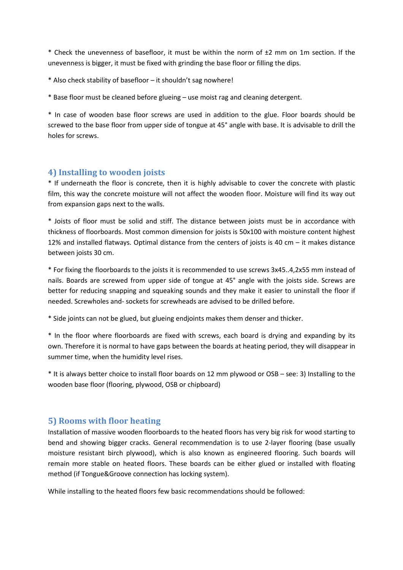\* Check the unevenness of basefloor, it must be within the norm of ±2 mm on 1m section. If the unevenness is bigger, it must be fixed with grinding the base floor or filling the dips.

\* Also check stability of basefloor – it shouldn't sag nowhere!

\* Base floor must be cleaned before glueing – use moist rag and cleaning detergent.

\* In case of wooden base floor screws are used in addition to the glue. Floor boards should be screwed to the base floor from upper side of tongue at 45° angle with base. It is advisable to drill the holes for screws.

#### 4) Installing to wooden joists

\* If underneath the floor is concrete, then it is highly advisable to cover the concrete with plastic film, this way the concrete moisture will not affect the wooden floor. Moisture will find its way out from expansion gaps next to the walls.

\* Joists of floor must be solid and stiff. The distance between joists must be in accordance with thickness of floorboards. Most common dimension for joists is 50x100 with moisture content highest 12% and installed flatways. Optimal distance from the centers of joists is 40 cm – it makes distance between joists 30 cm.

\* For fixing the floorboards to the joists it is recommended to use screws 3x45..4,2x55 mm instead of nails. Boards are screwed from upper side of tongue at 45° angle with the joists side. Screws are better for reducing snapping and squeaking sounds and they make it easier to uninstall the floor if needed. Screwholes and- sockets for screwheads are advised to be drilled before.

\* Side joints can not be glued, but glueing endjoints makes them denser and thicker.

\* In the floor where floorboards are fixed with screws, each board is drying and expanding by its own. Therefore it is normal to have gaps between the boards at heating period, they will disappear in summer time, when the humidity level rises.

\* It is always better choice to install floor boards on 12 mm plywood or OSB – see: 3) Installing to the wooden base floor (flooring, plywood, OSB or chipboard)

## 5) Rooms with floor heating

Installation of massive wooden floorboards to the heated floors has very big risk for wood starting to bend and showing bigger cracks. General recommendation is to use 2-layer flooring (base usually moisture resistant birch plywood), which is also known as engineered flooring. Such boards will remain more stable on heated floors. These boards can be either glued or installed with floating method (if Tongue&Groove connection has locking system).

While installing to the heated floors few basic recommendations should be followed: